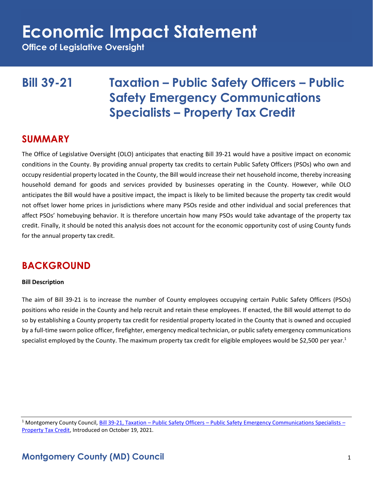**Office of Legislative Oversight**

## **Bill 39-21 Taxation – Public Safety Officers – Public Safety Emergency Communications Specialists – Property Tax Credit**

### **SUMMARY**

The Office of Legislative Oversight (OLO) anticipates that enacting Bill 39-21 would have a positive impact on economic conditions in the County. By providing annual property tax credits to certain Public Safety Officers (PSOs) who own and occupy residential property located in the County, the Bill would increase their net household income, thereby increasing household demand for goods and services provided by businesses operating in the County. However, while OLO anticipates the Bill would have a positive impact, the impact is likely to be limited because the property tax credit would not offset lower home prices in jurisdictions where many PSOs reside and other individual and social preferences that affect PSOs' homebuying behavior. It is therefore uncertain how many PSOs would take advantage of the property tax credit. Finally, it should be noted this analysis does not account for the economic opportunity cost of using County funds for the annual property tax credit.

## **BACKGROUND**

### **Bill Description**

The aim of Bill 39-21 is to increase the number of County employees occupying certain Public Safety Officers (PSOs) positions who reside in the County and help recruit and retain these employees. If enacted, the Bill would attempt to do so by establishing a County property tax credit for residential property located in the County that is owned and occupied by a full-time sworn police officer, firefighter, emergency medical technician, or public safety emergency communications specialist employed by the County. The maximum property tax credit for eligible employees would be \$2,500 per year.<sup>1</sup>

<sup>1</sup> Montgomery County Council, Bill 39-21, Taxation – Public Safety Officers – [Public Safety Emergency Communications Specialists](https://apps.montgomerycountymd.gov/ccllims/DownloadFilePage?FileName=2727_1_17760_Bill_39-2021_Introduction_20211019.pdf) – [Property Tax Credit,](https://apps.montgomerycountymd.gov/ccllims/DownloadFilePage?FileName=2727_1_17760_Bill_39-2021_Introduction_20211019.pdf) Introduced on October 19, 2021.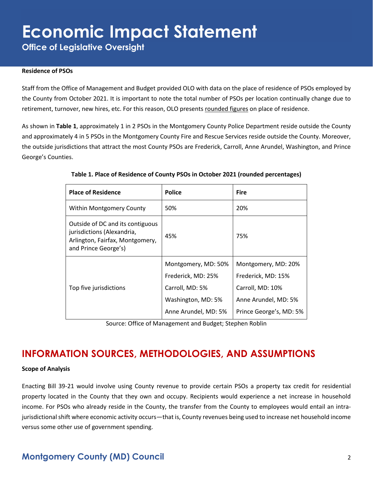**Office of Legislative Oversight**

#### **Residence of PSOs**

Staff from the Office of Management and Budget provided OLO with data on the place of residence of PSOs employed by the County from October 2021. It is important to note the total number of PSOs per location continually change due to retirement, turnover, new hires, etc. For this reason, OLO presents rounded figures on place of residence.

As shown in **Table 1**, approximately 1 in 2 PSOs in the Montgomery County Police Department reside outside the County and approximately 4 in 5 PSOs in the Montgomery County Fire and Rescue Services reside outside the County. Moreover, the outside jurisdictions that attract the most County PSOs are Frederick, Carroll, Anne Arundel, Washington, and Prince George's Counties.

| <b>Place of Residence</b>                                                                                                 | <b>Police</b>        | <b>Fire</b>             |
|---------------------------------------------------------------------------------------------------------------------------|----------------------|-------------------------|
| <b>Within Montgomery County</b>                                                                                           | 50%                  | 20%                     |
| Outside of DC and its contiguous<br>jurisdictions (Alexandria,<br>Arlington, Fairfax, Montgomery,<br>and Prince George's) | 45%                  | 75%                     |
|                                                                                                                           | Montgomery, MD: 50%  | Montgomery, MD: 20%     |
|                                                                                                                           | Frederick, MD: 25%   | Frederick, MD: 15%      |
| Top five jurisdictions                                                                                                    | Carroll, MD: 5%      | Carroll, MD: 10%        |
|                                                                                                                           | Washington, MD: 5%   | Anne Arundel, MD: 5%    |
|                                                                                                                           | Anne Arundel, MD: 5% | Prince George's, MD: 5% |

#### **Table 1. Place of Residence of County PSOs in October 2021 (rounded percentages)**

Source: Office of Management and Budget; Stephen Roblin

## **INFORMATION SOURCES, METHODOLOGIES, AND ASSUMPTIONS**

#### **Scope of Analysis**

Enacting Bill 39-21 would involve using County revenue to provide certain PSOs a property tax credit for residential property located in the County that they own and occupy. Recipients would experience a net increase in household income. For PSOs who already reside in the County, the transfer from the County to employees would entail an intrajurisdictional shift where economic activity occurs—that is, County revenues being used to increase net household income versus some other use of government spending.

### **Montgomery County (MD) Council** 2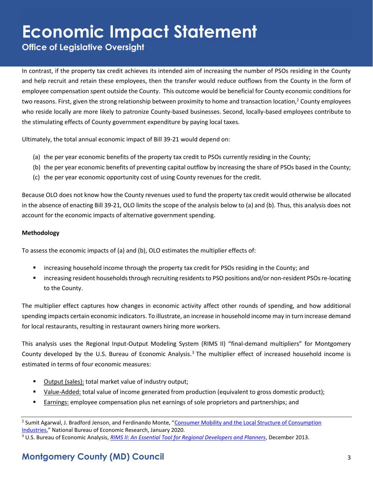**Office of Legislative Oversight**

In contrast, if the property tax credit achieves its intended aim of increasing the number of PSOs residing in the County and help recruit and retain these employees, then the transfer would reduce outflows from the County in the form of employee compensation spent outside the County. This outcome would be beneficial for County economic conditions for two reasons. First, given the strong relationship between proximity to home and transaction location,<sup>2</sup> County employees who reside locally are more likely to patronize County-based businesses. Second, locally-based employees contribute to the stimulating effects of County government expenditure by paying local taxes.

Ultimately, the total annual economic impact of Bill 39-21 would depend on:

- (a) the per year economic benefits of the property tax credit to PSOs currently residing in the County;
- (b) the per year economic benefits of preventing capital outflow by increasing the share of PSOs based in the County;
- (c) the per year economic opportunity cost of using County revenues for the credit.

Because OLO does not know how the County revenues used to fund the property tax credit would otherwise be allocated in the absence of enacting Bill 39-21, OLO limits the scope of the analysis below to (a) and (b). Thus, this analysis does not account for the economic impacts of alternative government spending.

### **Methodology**

To assess the economic impacts of (a) and (b), OLO estimates the multiplier effects of:

- increasing household income through the property tax credit for PSOs residing in the County; and
- increasing resident households through recruiting residents to PSO positions and/or non-resident PSOs re-locating to the County.

The multiplier effect captures how changes in economic activity affect other rounds of spending, and how additional spending impacts certain economic indicators. To illustrate, an increase in household income may in turn increase demand for local restaurants, resulting in restaurant owners hiring more workers.

This analysis uses the Regional Input-Output Modeling System (RIMS II) "final-demand multipliers" for Montgomery County developed by the U.S. Bureau of Economic Analysis.<sup>3</sup> The multiplier effect of increased household income is estimated in terms of four economic measures:

- Output (sales): total market value of industry output;
- Value-Added: total value of income generated from production (equivalent to gross domestic product);
- Earnings: employee compensation plus net earnings of sole proprietors and partnerships; and

<sup>&</sup>lt;sup>2</sup> Sumit Agarwal, J. Bradford Jenson, and Ferdinando Monte, "Consumer Mobility and the Local Structure of Consumption [Industries](https://www.nber.org/papers/w23616)," National Bureau of Economic Research, January 2020.

<sup>3</sup> U.S. Bureau of Economic Analysis, *[RIMS II: An Essential Tool for Regional Developers and Planners](https://apps.bea.gov/regional/rims/rimsii/rimsii_user_guide.pdf)*, December 2013.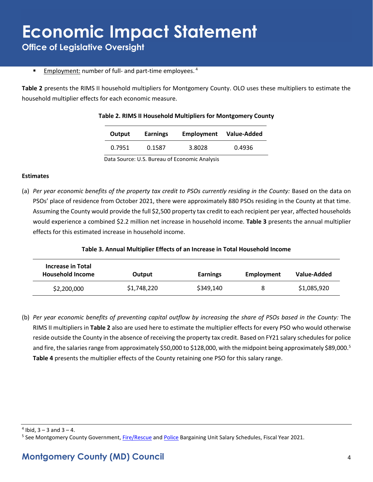**Office of Legislative Oversight**

**Employment:** number of full- and part-time employees.<sup>4</sup>

**Table 2** presents the RIMS II household multipliers for Montgomery County. OLO uses these multipliers to estimate the household multiplier effects for each economic measure.

| Output | <b>Earnings</b> | Employment | Value-Added |  |
|--------|-----------------|------------|-------------|--|
| 0.7951 | 0.1587          | 3.8028     | 0.4936      |  |

#### **Table 2. RIMS II Household Multipliers for Montgomery County**

Data Source: U.S. Bureau of Economic Analysis

#### **Estimates**

(a) *Per year economic benefits of the property tax credit to PSOs currently residing in the County:* Based on the data on PSOs' place of residence from October 2021, there were approximately 880 PSOs residing in the County at that time. Assuming the County would provide the full \$2,500 property tax credit to each recipient per year, affected households would experience a combined \$2.2 million net increase in household income. **Table 3** presents the annual multiplier effects for this estimated increase in household income.

#### **Table 3. Annual Multiplier Effects of an Increase in Total Household Income**

| <b>Increase in Total</b><br><b>Household Income</b> | Output      | <b>Earnings</b> | Employment | Value-Added |
|-----------------------------------------------------|-------------|-----------------|------------|-------------|
| \$2,200,000                                         | \$1,748,220 | \$349,140       | 8          | \$1,085,920 |

(b) *Per year economic benefits of preventing capital outflow by increasing the share of PSOs based in the County:* The RIMS II multipliers in **Table 2** also are used here to estimate the multiplier effects for every PSO who would otherwise reside outside the County in the absence of receiving the property tax credit. Based on FY21 salary schedules for police and fire, the salaries range from approximately \$50,000 to \$128,000, with the midpoint being approximately \$89,000.<sup>5</sup> **Table 4** presents the multiplier effects of the County retaining one PSO for this salary range.

 $4$  Ibid,  $3 - 3$  and  $3 - 4$ .

<sup>5</sup> See Montgomery County Government, <u>Fire/Rescue</u> and [Police](https://www.montgomerycountymd.gov/HR/Resources/Files/Classification/Compensation%20Documents/FY21%20FOP%20Salary%20Schedule.pdf) Bargaining Unit Salary Schedules, Fiscal Year 2021.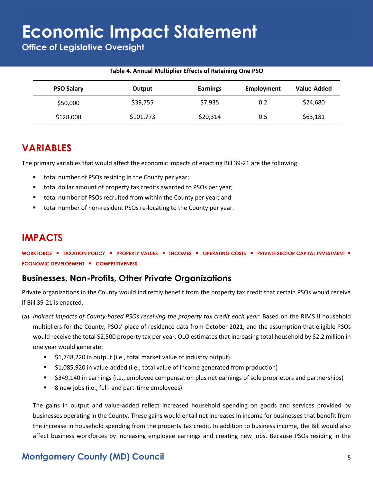**Office of Legislative Oversight**

### **Table 4. Annual Multiplier Effects of Retaining One PSO**

| <b>PSO Salary</b> | Output    | <b>Earnings</b> | Employment | Value-Added |
|-------------------|-----------|-----------------|------------|-------------|
| \$50,000          | \$39,755  | \$7,935         | 0.2        | \$24,680    |
| \$128,000         | \$101,773 | \$20,314        | 0.5        | \$63,181    |

### **VARIABLES**

The primary variables that would affect the economic impacts of enacting Bill 39-21 are the following:

- total number of PSOs residing in the County per year;
- total dollar amount of property tax credits awarded to PSOs per year;
- total number of PSOs recruited from within the County per year; and
- total number of non-resident PSOs re-locating to the County per year.

## **IMPACTS**

**WORKFORCE** ▪ **TAXATION POLICY** ▪ **PROPERTY VALUES** ▪ **INCOMES** ▪ **OPERATING COSTS** ▪ **PRIVATE SECTOR CAPITAL INVESTMENT** ▪ **ECONOMIC DEVELOPMENT** ▪ **COMPETITIVENESS**

### **Businesses, Non-Profits, Other Private Organizations**

Private organizations in the County would indirectly benefit from the property tax credit that certain PSOs would receive if Bill 39-21 is enacted.

- (a) *Indirect impacts of County-based PSOs receiving the property tax credit each year:* Based on the RIMS II household multipliers for the County, PSOs' place of residence data from October 2021, and the assumption that eligible PSOs would receive the total \$2,500 property tax per year, OLO estimates that increasing total household by \$2.2 million in one year would generate:
	- \$1,748,220 in output (i.e., total market value of industry output)
	- \$1,085,920 in value-added (i.e., total value of income generated from production)
	- \$349,140 in earnings (i.e., employee compensation plus net earnings of sole proprietors and partnerships)
	- 8 new jobs (i.e., full- and part-time employees)

The gains in output and value-added reflect increased household spending on goods and services provided by businesses operating in the County. These gains would entail net increases in income for businesses that benefit from the increase in household spending from the property tax credit. In addition to business income, the Bill would also affect business workforces by increasing employee earnings and creating new jobs. Because PSOs residing in the

## **Montgomery County (MD) Council** 5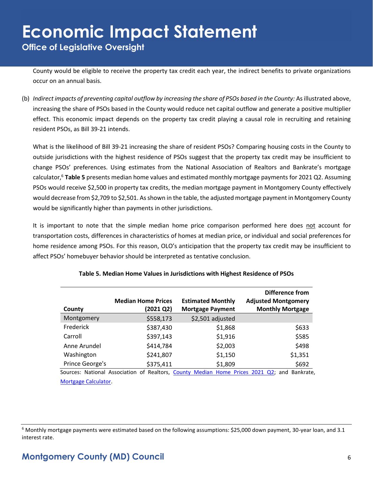## **Economic Impact Statement Office of Legislative Oversight**

County would be eligible to receive the property tax credit each year, the indirect benefits to private organizations occur on an annual basis.

(b) *Indirect impacts of preventing capital outflow by increasing the share of PSOs based in the County:* As illustrated above, increasing the share of PSOs based in the County would reduce net capital outflow and generate a positive multiplier effect. This economic impact depends on the property tax credit playing a causal role in recruiting and retaining resident PSOs, as Bill 39-21 intends.

What is the likelihood of Bill 39-21 increasing the share of resident PSOs? Comparing housing costs in the County to outside jurisdictions with the highest residence of PSOs suggest that the property tax credit may be insufficient to change PSOs' preferences. Using estimates from the National Association of Realtors and Bankrate's mortgage calculator, <sup>6</sup> **Table 5** presents median home values and estimated monthly mortgage payments for 2021 Q2. Assuming PSOs would receive \$2,500 in property tax credits, the median mortgage payment in Montgomery County effectively would decrease from \$2,709 to \$2,501. As shown in the table, the adjusted mortgage payment in Montgomery County would be significantly higher than payments in other jurisdictions.

It is important to note that the simple median home price comparison performed here does not account for transportation costs, differences in characteristics of homes at median price, or individual and social preferences for home residence among PSOs. For this reason, OLO's anticipation that the property tax credit may be insufficient to affect PSOs' homebuyer behavior should be interpreted as tentative conclusion.

|                 | <b>Median Home Prices</b> | <b>Estimated Monthly</b> | Difference from<br><b>Adjusted Montgomery</b>                                              |
|-----------------|---------------------------|--------------------------|--------------------------------------------------------------------------------------------|
| County          | (2021 Q2)                 | <b>Mortgage Payment</b>  | <b>Monthly Mortgage</b>                                                                    |
| Montgomery      | \$558,173                 | \$2,501 adjusted         |                                                                                            |
| Frederick       | \$387,430                 | \$1,868                  | \$633                                                                                      |
| Carroll         | \$397,143                 | \$1,916                  | \$585                                                                                      |
| Anne Arundel    | \$414,784                 | \$2,003                  | \$498                                                                                      |
| Washington      | \$241,807                 | \$1,150                  | \$1,351                                                                                    |
| Prince George's | \$375,411                 | \$1,809                  | \$692                                                                                      |
|                 |                           |                          | Sources: National Association of Realtors, County Median Home Prices 2021 02: and Bankrate |

|  |  |  |  | Table 5. Median Home Values in Jurisdictions with Highest Residence of PSOs |  |  |
|--|--|--|--|-----------------------------------------------------------------------------|--|--|
|--|--|--|--|-----------------------------------------------------------------------------|--|--|

Sources: National Association of Realtors, [County Median Home Prices 2021 Q2;](https://www.nar.realtor/research-and-statistics/housing-statistics/county-median-home-prices-and-monthly-mortgage-payment) and Bankrate, [Mortgage Calculator.](https://www.bankrate.com/calculators/mortgages/mortgage-calculator.aspx)

 $6$  Monthly mortgage payments were estimated based on the following assumptions: \$25,000 down payment, 30-year loan, and 3.1 interest rate.

### **Montgomery County (MD) Council** 6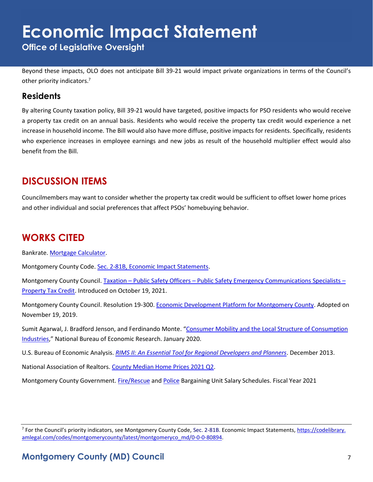**Office of Legislative Oversight**

Beyond these impacts, OLO does not anticipate Bill 39-21 would impact private organizations in terms of the Council's other priority indicators.<sup>7</sup>

### **Residents**

By altering County taxation policy, Bill 39-21 would have targeted, positive impacts for PSO residents who would receive a property tax credit on an annual basis. Residents who would receive the property tax credit would experience a net increase in household income. The Bill would also have more diffuse, positive impacts for residents. Specifically, residents who experience increases in employee earnings and new jobs as result of the household multiplier effect would also benefit from the Bill.

## **DISCUSSION ITEMS**

Councilmembers may want to consider whether the property tax credit would be sufficient to offset lower home prices and other individual and social preferences that affect PSOs' homebuying behavior.

## **WORKS CITED**

Bankrate[. Mortgage Calculator.](https://www.bankrate.com/calculators/mortgages/mortgage-calculator.aspx)

Montgomery County Code. [Sec. 2-81B, Economic Impact Statements.](https://codelibrary.amlegal.com/codes/montgomerycounty/latest/montgomeryco_md/0-0-0-80894)

Montgomery County Council. Taxation – Public Safety Officers – [Public Safety Emergency Communications Specialists](https://apps.montgomerycountymd.gov/ccllims/DownloadFilePage?FileName=2727_1_17760_Bill_39-2021_Introduction_20211019.pdf) – [Property Tax Credit.](https://apps.montgomerycountymd.gov/ccllims/DownloadFilePage?FileName=2727_1_17760_Bill_39-2021_Introduction_20211019.pdf) Introduced on October 19, 2021.

Montgomery County Council. Resolution 19-300. [Economic Development Platform for Montgomery County.](https://www.montgomerycountymd.gov/COUNCIL/Resources/Files/2019/EDPlatformPlatformFinal.pdf) Adopted on November 19, 2019.

Sumit Agarwal, J. Bradford Jenson, and Ferdinando Monte. "[Consumer Mobility and the Local Structure of Consumption](https://www.nber.org/papers/w23616)  [Industries](https://www.nber.org/papers/w23616)," National Bureau of Economic Research. January 2020.

U.S. Bureau of Economic Analysis. *[RIMS II: An Essential Tool for Regional Developers and Planners](https://apps.bea.gov/regional/rims/rimsii/rimsii_user_guide.pdf)*. December 2013.

National Association of Realtors. [County Median Home Prices 2021 Q2.](https://www.nar.realtor/research-and-statistics/housing-statistics/county-median-home-prices-and-monthly-mortgage-payment)

Montgomery County Government. [Fire/Rescue](https://www.montgomerycountymd.gov/HR/Resources/Files/Classification/Compensation%20Documents/FY21%20Mid-Year%20Salary%20Schedules/FY21%20IAFF%20V2.pdf) and [Police](https://www.montgomerycountymd.gov/HR/Resources/Files/Classification/Compensation%20Documents/FY21%20FOP%20Salary%20Schedule.pdf) Bargaining Unit Salary Schedules. Fiscal Year 2021

<sup>&</sup>lt;sup>7</sup> For the Council's priority indicators, see Montgomery County Code, Sec. 2-81B. Economic Impact Statements, <u>https://codelibrary.</u> [amlegal.com/codes/montgomerycounty/latest/montgomeryco\\_md/0-0-0-80894.](https://codelibrary.amlegal.com/codes/montgomerycounty/latest/montgomeryco_md/0-0-0-80894)